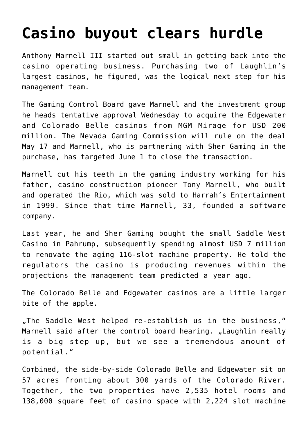## **[Casino buyout clears hurdle](https://www.isa-guide.de/english-news/articles/16332.html)**

Anthony Marnell III started out small in getting back into the casino operating business. Purchasing two of Laughlin's largest casinos, he figured, was the logical next step for his management team.

The Gaming Control Board gave Marnell and the investment group he heads tentative approval Wednesday to acquire the Edgewater and Colorado Belle casinos from MGM Mirage for USD 200 million. The Nevada Gaming Commission will rule on the deal May 17 and Marnell, who is partnering with Sher Gaming in the purchase, has targeted June 1 to close the transaction.

Marnell cut his teeth in the gaming industry working for his father, casino construction pioneer Tony Marnell, who built and operated the Rio, which was sold to Harrah's Entertainment in 1999. Since that time Marnell, 33, founded a software company.

Last year, he and Sher Gaming bought the small Saddle West Casino in Pahrump, subsequently spending almost USD 7 million to renovate the aging 116-slot machine property. He told the regulators the casino is producing revenues within the projections the management team predicted a year ago.

The Colorado Belle and Edgewater casinos are a little larger bite of the apple.

"The Saddle West helped re-establish us in the business," Marnell said after the control board hearing, "Laughlin really is a big step up, but we see a tremendous amount of potential."

Combined, the side-by-side Colorado Belle and Edgewater sit on 57 acres fronting about 300 yards of the Colorado River. Together, the two properties have 2,535 hotel rooms and 138,000 square feet of casino space with 2,224 slot machine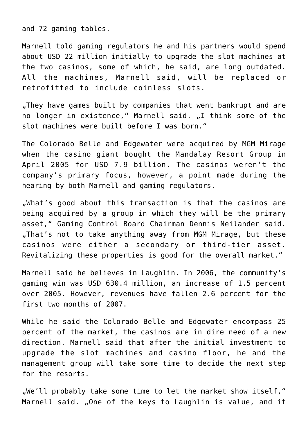and 72 gaming tables.

Marnell told gaming regulators he and his partners would spend about USD 22 million initially to upgrade the slot machines at the two casinos, some of which, he said, are long outdated. All the machines, Marnell said, will be replaced or retrofitted to include coinless slots.

"They have games built by companies that went bankrupt and are no longer in existence," Marnell said. "I think some of the slot machines were built before I was born."

The Colorado Belle and Edgewater were acquired by MGM Mirage when the casino giant bought the Mandalay Resort Group in April 2005 for USD 7.9 billion. The casinos weren't the company's primary focus, however, a point made during the hearing by both Marnell and gaming regulators.

"What's good about this transaction is that the casinos are being acquired by a group in which they will be the primary asset," Gaming Control Board Chairman Dennis Neilander said. .That's not to take anything away from MGM Mirage, but these casinos were either a secondary or third-tier asset. Revitalizing these properties is good for the overall market."

Marnell said he believes in Laughlin. In 2006, the community's gaming win was USD 630.4 million, an increase of 1.5 percent over 2005. However, revenues have fallen 2.6 percent for the first two months of 2007.

While he said the Colorado Belle and Edgewater encompass 25 percent of the market, the casinos are in dire need of a new direction. Marnell said that after the initial investment to upgrade the slot machines and casino floor, he and the management group will take some time to decide the next step for the resorts.

"We'll probably take some time to let the market show itself," Marnell said. "One of the keys to Laughlin is value, and it